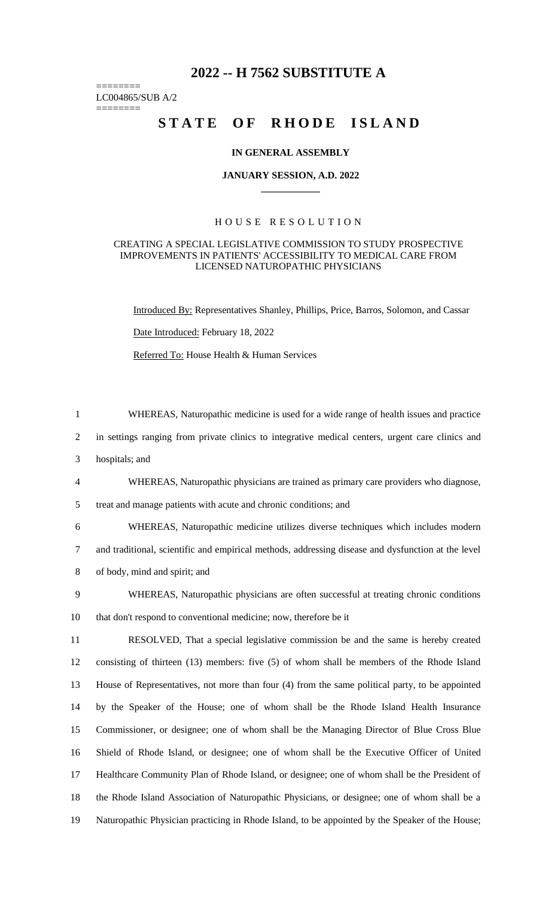## **2022 -- H 7562 SUBSTITUTE A**

LC004865/SUB A/2 ========

========

# **STATE OF RHODE ISLAND**

#### **IN GENERAL ASSEMBLY**

#### **JANUARY SESSION, A.D. 2022 \_\_\_\_\_\_\_\_\_\_\_\_**

## H O U S E R E S O L U T I O N

#### CREATING A SPECIAL LEGISLATIVE COMMISSION TO STUDY PROSPECTIVE IMPROVEMENTS IN PATIENTS' ACCESSIBILITY TO MEDICAL CARE FROM LICENSED NATUROPATHIC PHYSICIANS

Introduced By: Representatives Shanley, Phillips, Price, Barros, Solomon, and Cassar Date Introduced: February 18, 2022

Referred To: House Health & Human Services

| $\mathbf{1}$   | WHEREAS, Naturopathic medicine is used for a wide range of health issues and practice              |
|----------------|----------------------------------------------------------------------------------------------------|
| $\overline{2}$ | in settings ranging from private clinics to integrative medical centers, urgent care clinics and   |
| 3              | hospitals; and                                                                                     |
| $\overline{4}$ | WHEREAS, Naturopathic physicians are trained as primary care providers who diagnose,               |
| 5              | treat and manage patients with acute and chronic conditions; and                                   |
| 6              | WHEREAS, Naturopathic medicine utilizes diverse techniques which includes modern                   |
| $\tau$         | and traditional, scientific and empirical methods, addressing disease and dysfunction at the level |
| 8              | of body, mind and spirit; and                                                                      |
| 9              | WHEREAS, Naturopathic physicians are often successful at treating chronic conditions               |
| 10             | that don't respond to conventional medicine; now, therefore be it                                  |
| 11             | RESOLVED, That a special legislative commission be and the same is hereby created                  |
| 12             | consisting of thirteen (13) members: five (5) of whom shall be members of the Rhode Island         |
| 13             | House of Representatives, not more than four (4) from the same political party, to be appointed    |
| 14             | by the Speaker of the House; one of whom shall be the Rhode Island Health Insurance                |
| 15             | Commissioner, or designee; one of whom shall be the Managing Director of Blue Cross Blue           |
| 16             | Shield of Rhode Island, or designee; one of whom shall be the Executive Officer of United          |
| 17             | Healthcare Community Plan of Rhode Island, or designee; one of whom shall be the President of      |
| 18             | the Rhode Island Association of Naturopathic Physicians, or designee; one of whom shall be a       |
| 19             | Naturopathic Physician practicing in Rhode Island, to be appointed by the Speaker of the House;    |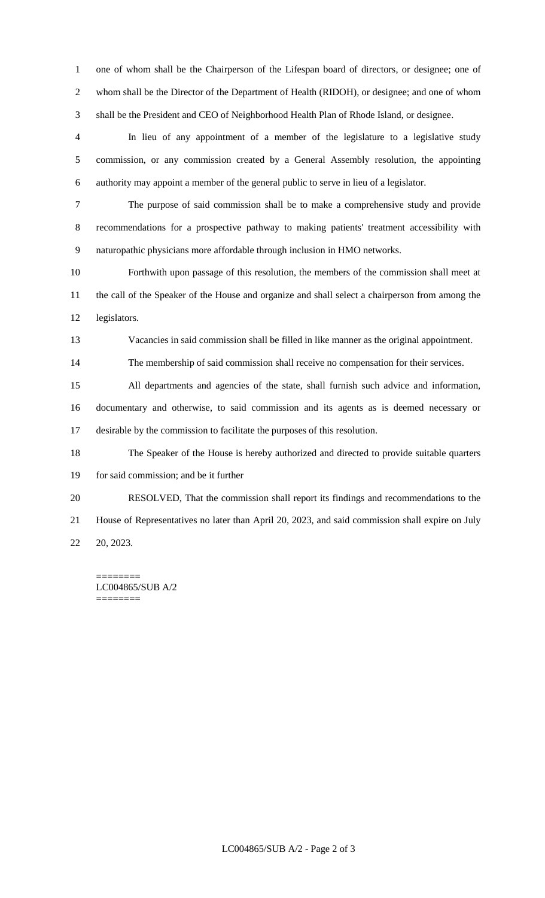one of whom shall be the Chairperson of the Lifespan board of directors, or designee; one of whom shall be the Director of the Department of Health (RIDOH), or designee; and one of whom shall be the President and CEO of Neighborhood Health Plan of Rhode Island, or designee.

 In lieu of any appointment of a member of the legislature to a legislative study commission, or any commission created by a General Assembly resolution, the appointing authority may appoint a member of the general public to serve in lieu of a legislator.

 The purpose of said commission shall be to make a comprehensive study and provide recommendations for a prospective pathway to making patients' treatment accessibility with naturopathic physicians more affordable through inclusion in HMO networks.

 Forthwith upon passage of this resolution, the members of the commission shall meet at the call of the Speaker of the House and organize and shall select a chairperson from among the legislators.

Vacancies in said commission shall be filled in like manner as the original appointment.

The membership of said commission shall receive no compensation for their services.

 All departments and agencies of the state, shall furnish such advice and information, documentary and otherwise, to said commission and its agents as is deemed necessary or desirable by the commission to facilitate the purposes of this resolution.

 The Speaker of the House is hereby authorized and directed to provide suitable quarters for said commission; and be it further

RESOLVED, That the commission shall report its findings and recommendations to the

 House of Representatives no later than April 20, 2023, and said commission shall expire on July 20, 2023.

======== LC004865/SUB A/2 ========